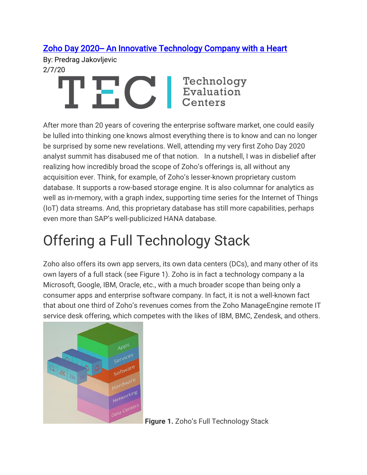### [Zoho Day 2020-- An Innovative Technology Company with a Heart](https://www3.technologyevaluation.com/research/article/zoho-day-2020-an-innovative-technology-company-with-a-heart.html)

By: Predrag Jakovljevic 2/7/20



After more than 20 years of covering the enterprise software market, one could easily be lulled into thinking one knows almost everything there is to know and can no longer be surprised by some new revelations. Well, attending my very first Zoho Day 2020 analyst summit has disabused me of that notion. In a nutshell, I was in disbelief after realizing how incredibly broad the scope of Zoho's offerings is, all without any acquisition ever. Think, for example, of Zoho's lesser-known proprietary custom database. It supports a row-based storage engine. It is also columnar for analytics as well as in-memory, with a graph index, supporting time series for the Internet of Things (IoT) data streams. And, this proprietary database has still more capabilities, perhaps even more than SAP's well-publicized HANA database.

# Offering a Full Technology Stack

Zoho also offers its own app servers, its own data centers (DCs), and many other of its own layers of a full stack (see Figure 1). Zoho is in fact a technology company a la Microsoft, Google, IBM, Oracle, etc., with a much broader scope than being only a consumer apps and enterprise software company. In fact, it is not a well-known fact that about one third of Zoho's revenues comes from the Zoho ManageEngine remote IT service desk offering, which competes with the likes of IBM, BMC, Zendesk, and others.



**Figure 1.** Zoho's Full Technology Stack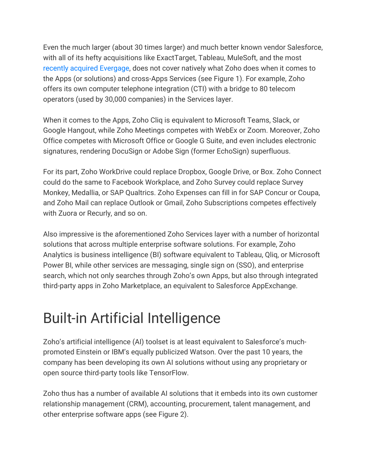Even the much larger (about 30 times larger) and much better known vendor Salesforce, with all of its hefty acquisitions like ExactTarget, Tableau, MuleSoft, and the most [recently acquired Evergage,](https://martechseries.com/mts-insights/staff-writers/evergage-jumps-salesforce-economy-bought-improve-hyper-personalization-sales/) does not cover natively what Zoho does when it comes to the Apps (or solutions) and cross-Apps Services (see Figure 1). For example, Zoho offers its own computer telephone integration (CTI) with a bridge to 80 telecom operators (used by 30,000 companies) in the Services layer.

When it comes to the Apps, Zoho Cliq is equivalent to Microsoft Teams, Slack, or Google Hangout, while Zoho Meetings competes with WebEx or Zoom. Moreover, Zoho Office competes with Microsoft Office or Google G Suite, and even includes electronic signatures, rendering DocuSign or Adobe Sign (former EchoSign) superfluous.

For its part, Zoho WorkDrive could replace Dropbox, Google Drive, or Box. Zoho Connect could do the same to Facebook Workplace, and Zoho Survey could replace Survey Monkey, Medallia, or SAP Qualtrics. Zoho Expenses can fill in for SAP Concur or Coupa, and Zoho Mail can replace Outlook or Gmail, Zoho Subscriptions competes effectively with Zuora or Recurly, and so on.

Also impressive is the aforementioned Zoho Services layer with a number of horizontal solutions that across multiple enterprise software solutions. For example, Zoho Analytics is business intelligence (BI) software equivalent to Tableau, Qliq, or Microsoft Power BI, while other services are messaging, single sign on (SSO), and enterprise search, which not only searches through Zoho's own Apps, but also through integrated third-party apps in Zoho Marketplace, an equivalent to Salesforce AppExchange.

## Built-in Artificial Intelligence

Zoho's artificial intelligence (AI) toolset is at least equivalent to Salesforce's muchpromoted Einstein or IBM's equally publicized Watson. Over the past 10 years, the company has been developing its own AI solutions without using any proprietary or open source third-party tools like TensorFlow.

Zoho thus has a number of available AI solutions that it embeds into its own customer relationship management (CRM), accounting, procurement, talent management, and other enterprise software apps (see Figure 2).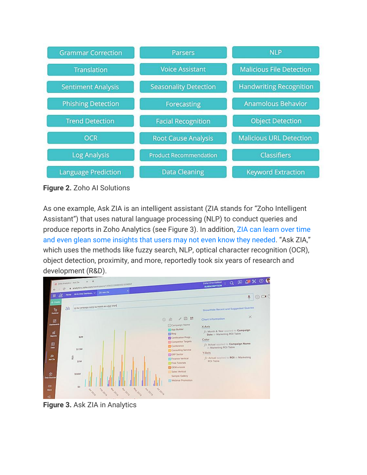

**Figure 2.** Zoho AI Solutions

As one example, Ask ZIA is an intelligent assistant (ZIA stands for "Zoho Intelligent Assistant") that uses natural language processing (NLP) to conduct queries and produce reports in Zoho Analytics (see Figure 3). In addition, [ZIA can learn over time](https://www.zoho.com/analytics/blog/zia-for-sales-analytics.html)  [and even glean some insights that users may not even know they needed](https://www.zoho.com/analytics/blog/zia-for-sales-analytics.html). "Ask ZIA," which uses the methods like fuzzy search, NLP, optical character recognition (OCR), object detection, proximity, and more, reportedly took six years of research and development (R&D).



**Figure 3.** Ask ZIA in Analytics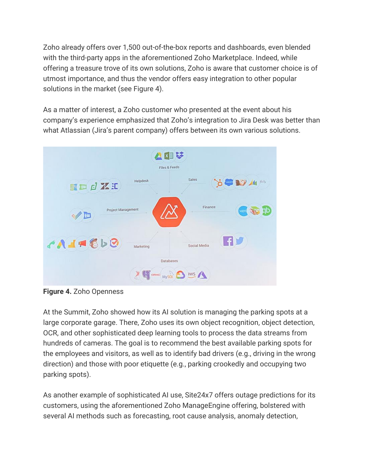Zoho already offers over 1,500 out-of-the-box reports and dashboards, even blended with the third-party apps in the aforementioned Zoho Marketplace. Indeed, while offering a treasure trove of its own solutions, Zoho is aware that customer choice is of utmost importance, and thus the vendor offers easy integration to other popular solutions in the market (see Figure 4).

As a matter of interest, a Zoho customer who presented at the event about his company's experience emphasized that Zoho's integration to Jira Desk was better than what Atlassian (Jira's parent company) offers between its own various solutions.



**Figure 4.** Zoho Openness

At the Summit, Zoho showed how its AI solution is managing the parking spots at a large corporate garage. There, Zoho uses its own object recognition, object detection, OCR, and other sophisticated deep learning tools to process the data streams from hundreds of cameras. The goal is to recommend the best available parking spots for the employees and visitors, as well as to identify bad drivers (e.g., driving in the wrong direction) and those with poor etiquette (e.g., parking crookedly and occupying two parking spots).

As another example of sophisticated AI use, Site24x7 offers outage predictions for its customers, using the aforementioned Zoho ManageEngine offering, bolstered with several AI methods such as forecasting, root cause analysis, anomaly detection,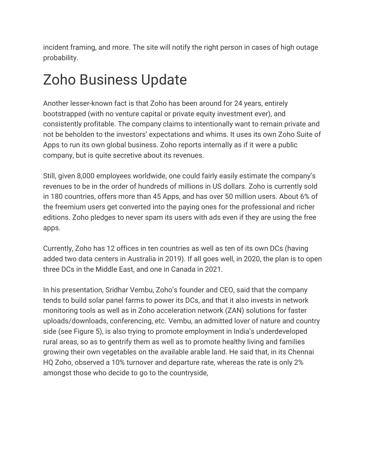incident framing, and more. The site will notify the right person in cases of high outage probability.

# Zoho Business Update

Another lesser-known fact is that Zoho has been around for 24 years, entirely bootstrapped (with no venture capital or private equity investment ever), and consistently profitable. The company claims to intentionally want to remain private and not be beholden to the investors' expectations and whims. It uses its own Zoho Suite of Apps to run its own global business. Zoho reports internally as if it were a public company, but is quite secretive about its revenues.

Still, given 8,000 employees worldwide, one could fairly easily estimate the company's revenues to be in the order of hundreds of millions in US dollars. Zoho is currently sold in 180 countries, offers more than 45 Apps, and has over 50 million users. About 6% of the freemium users get converted into the paying ones for the professional and richer editions. Zoho pledges to never spam its users with ads even if they are using the free apps.

Currently, Zoho has 12 offices in ten countries as well as ten of its own DCs (having added two data centers in Australia in 2019). If all goes well, in 2020, the plan is to open three DCs in the Middle East, and one in Canada in 2021.

In his presentation, Sridhar Vembu, Zoho's founder and CEO, said that the company tends to build solar panel farms to power its DCs, and that it also invests in network monitoring tools as well as in Zoho acceleration network (ZAN) solutions for faster uploads/downloads, conferencing, etc. Vembu, an admitted lover of nature and country side (see Figure 5), is also trying to promote employment in India's underdeveloped rural areas, so as to gentrify them as well as to promote healthy living and families growing their own vegetables on the available arable land. He said that, in its Chennai HQ Zoho, observed a 10% turnover and departure rate, whereas the rate is only 2% amongst those who decide to go to the countryside,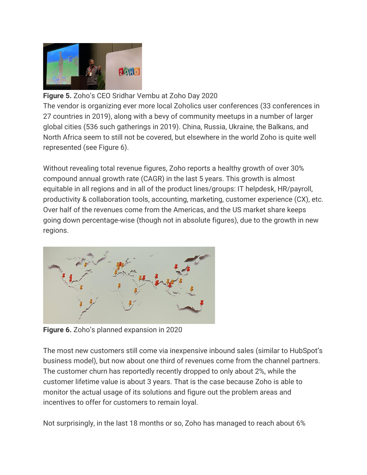

#### **Figure 5.** Zoho's CEO Sridhar Vembu at Zoho Day 2020

The vendor is organizing ever more local Zoholics user conferences (33 conferences in 27 countries in 2019), along with a bevy of community meetups in a number of larger global cities (536 such gatherings in 2019). China, Russia, Ukraine, the Balkans, and North Africa seem to still not be covered, but elsewhere in the world Zoho is quite well represented (see Figure 6).

Without revealing total revenue figures, Zoho reports a healthy growth of over 30% compound annual growth rate (CAGR) in the last 5 years. This growth is almost equitable in all regions and in all of the product lines/groups: IT helpdesk, HR/payroll, productivity & collaboration tools, accounting, marketing, customer experience (CX), etc. Over half of the revenues come from the Americas, and the US market share keeps going down percentage-wise (though not in absolute figures), due to the growth in new regions.



**Figure 6.** Zoho's planned expansion in 2020

The most new customers still come via inexpensive inbound sales (similar to HubSpot's business model), but now about one third of revenues come from the channel partners. The customer churn has reportedly recently dropped to only about 2%, while the customer lifetime value is about 3 years. That is the case because Zoho is able to monitor the actual usage of its solutions and figure out the problem areas and incentives to offer for customers to remain loyal.

Not surprisingly, in the last 18 months or so, Zoho has managed to reach about 6%